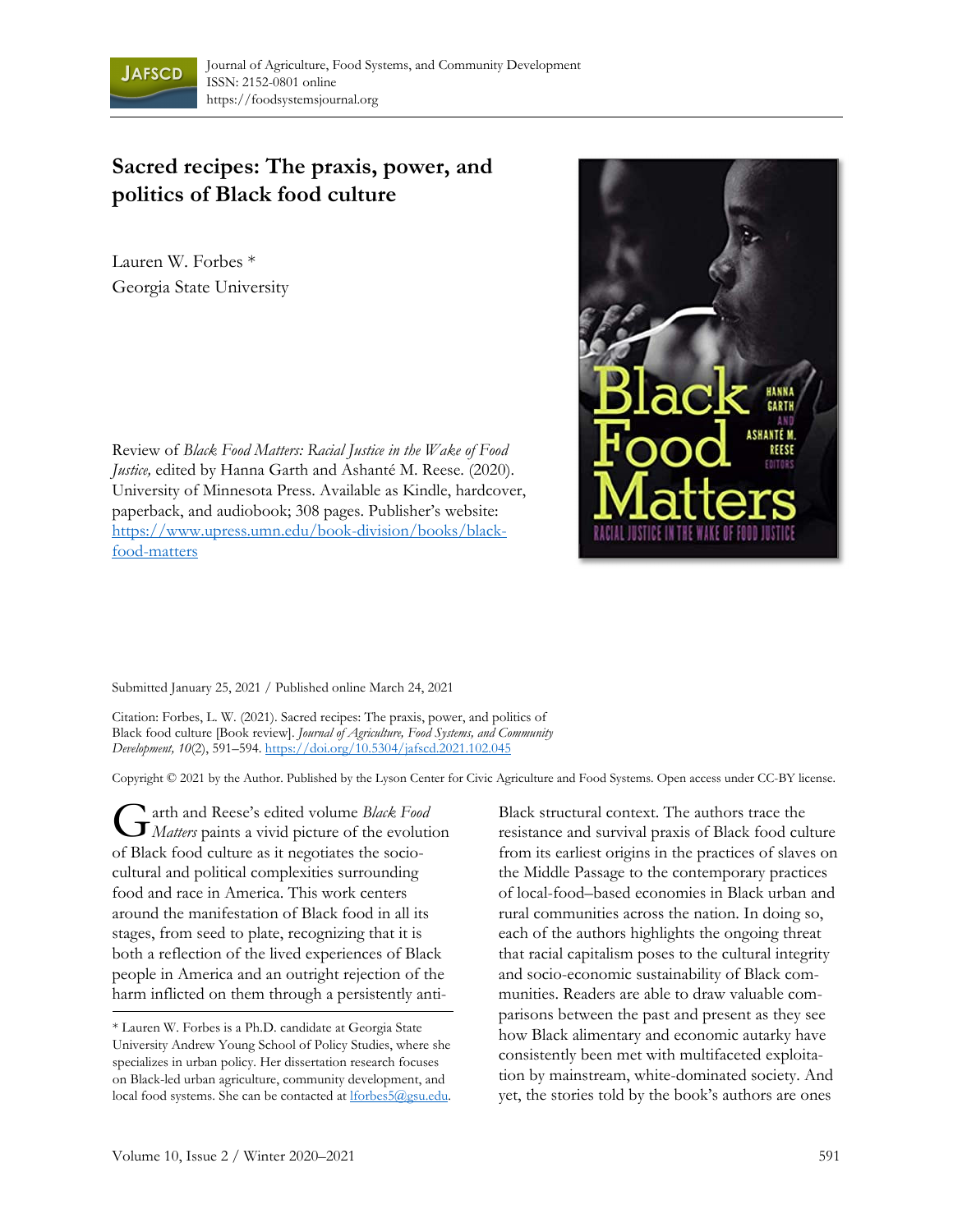

## **Sacred recipes: The praxis, power, and politics of Black food culture**

Lauren W. Forbes \* Georgia State University

Review of *Black Food Matters: Racial Justice in the Wake of Food Justice,* edited by Hanna Garth and Ashanté M. Reese. (2020). University of Minnesota Press. Available as Kindle, hardcover, paperback, and audiobook; 308 pages. Publisher's website: https://www.upress.umn.edu/book-division/books/blackfood-matters



Submitted January 25, 2021 / Published online March 24, 2021

Citation: Forbes, L. W. (2021). Sacred recipes: The praxis, power, and politics of Black food culture [Book review]. *Journal of Agriculture, Food Systems, and Community Development, 10*(2), 591–594. https://doi.org/10.5304/jafscd.2021.102.045

Copyright © 2021 by the Author. Published by the Lyson Center for Civic Agriculture and Food Systems. Open access under CC-BY license.

arth and Reese's edited volume *Black Food*  **G** arth and Reese's edited volume *Black Food*<br>*Matters* paints a vivid picture of the evolution of Black food culture as it negotiates the sociocultural and political complexities surrounding food and race in America. This work centers around the manifestation of Black food in all its stages, from seed to plate, recognizing that it is both a reflection of the lived experiences of Black people in America and an outright rejection of the harm inflicted on them through a persistently anti-

Black structural context. The authors trace the resistance and survival praxis of Black food culture from its earliest origins in the practices of slaves on the Middle Passage to the contemporary practices of local-food–based economies in Black urban and rural communities across the nation. In doing so, each of the authors highlights the ongoing threat that racial capitalism poses to the cultural integrity and socio-economic sustainability of Black communities. Readers are able to draw valuable comparisons between the past and present as they see how Black alimentary and economic autarky have consistently been met with multifaceted exploitation by mainstream, white-dominated society. And yet, the stories told by the book's authors are ones

<sup>\*</sup> Lauren W. Forbes is a Ph.D. candidate at Georgia State University Andrew Young School of Policy Studies, where she specializes in urban policy. Her dissertation research focuses on Black-led urban agriculture, community development, and local food systems. She can be contacted at lforbes5@gsu.edu.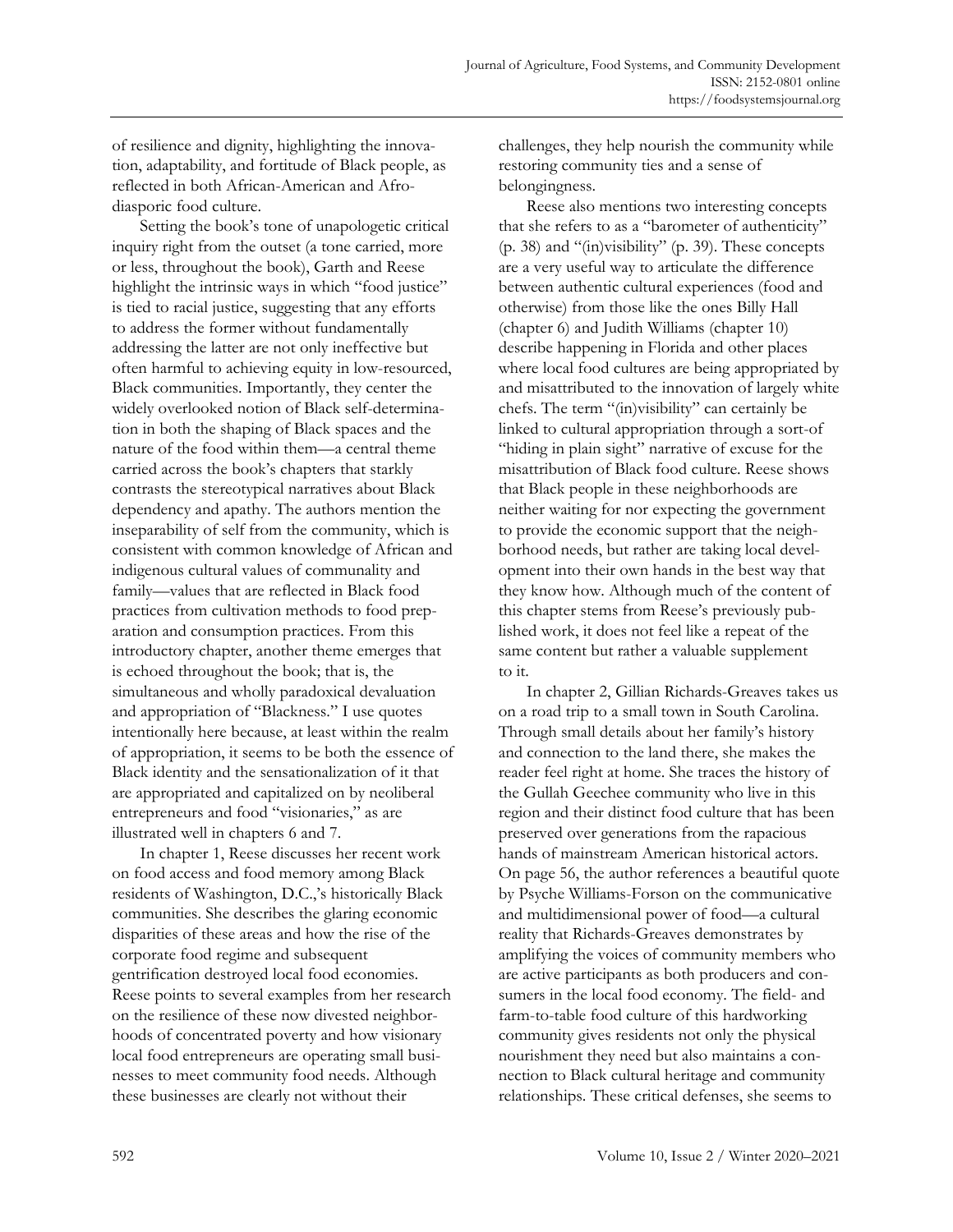of resilience and dignity, highlighting the innovation, adaptability, and fortitude of Black people, as reflected in both African-American and Afrodiasporic food culture.

 Setting the book's tone of unapologetic critical inquiry right from the outset (a tone carried, more or less, throughout the book), Garth and Reese highlight the intrinsic ways in which "food justice" is tied to racial justice, suggesting that any efforts to address the former without fundamentally addressing the latter are not only ineffective but often harmful to achieving equity in low-resourced, Black communities. Importantly, they center the widely overlooked notion of Black self-determination in both the shaping of Black spaces and the nature of the food within them—a central theme carried across the book's chapters that starkly contrasts the stereotypical narratives about Black dependency and apathy. The authors mention the inseparability of self from the community, which is consistent with common knowledge of African and indigenous cultural values of communality and family—values that are reflected in Black food practices from cultivation methods to food preparation and consumption practices. From this introductory chapter, another theme emerges that is echoed throughout the book; that is, the simultaneous and wholly paradoxical devaluation and appropriation of "Blackness." I use quotes intentionally here because, at least within the realm of appropriation, it seems to be both the essence of Black identity and the sensationalization of it that are appropriated and capitalized on by neoliberal entrepreneurs and food "visionaries," as are illustrated well in chapters 6 and 7.

 In chapter 1, Reese discusses her recent work on food access and food memory among Black residents of Washington, D.C.,'s historically Black communities. She describes the glaring economic disparities of these areas and how the rise of the corporate food regime and subsequent gentrification destroyed local food economies. Reese points to several examples from her research on the resilience of these now divested neighborhoods of concentrated poverty and how visionary local food entrepreneurs are operating small businesses to meet community food needs. Although these businesses are clearly not without their

challenges, they help nourish the community while restoring community ties and a sense of belongingness.

 Reese also mentions two interesting concepts that she refers to as a "barometer of authenticity" (p. 38) and "(in)visibility" (p. 39). These concepts are a very useful way to articulate the difference between authentic cultural experiences (food and otherwise) from those like the ones Billy Hall (chapter 6) and Judith Williams (chapter 10) describe happening in Florida and other places where local food cultures are being appropriated by and misattributed to the innovation of largely white chefs. The term "(in)visibility" can certainly be linked to cultural appropriation through a sort-of "hiding in plain sight" narrative of excuse for the misattribution of Black food culture. Reese shows that Black people in these neighborhoods are neither waiting for nor expecting the government to provide the economic support that the neighborhood needs, but rather are taking local development into their own hands in the best way that they know how. Although much of the content of this chapter stems from Reese's previously published work, it does not feel like a repeat of the same content but rather a valuable supplement to it.

 In chapter 2, Gillian Richards-Greaves takes us on a road trip to a small town in South Carolina. Through small details about her family's history and connection to the land there, she makes the reader feel right at home. She traces the history of the Gullah Geechee community who live in this region and their distinct food culture that has been preserved over generations from the rapacious hands of mainstream American historical actors. On page 56, the author references a beautiful quote by Psyche Williams-Forson on the communicative and multidimensional power of food—a cultural reality that Richards-Greaves demonstrates by amplifying the voices of community members who are active participants as both producers and consumers in the local food economy. The field- and farm-to-table food culture of this hardworking community gives residents not only the physical nourishment they need but also maintains a connection to Black cultural heritage and community relationships. These critical defenses, she seems to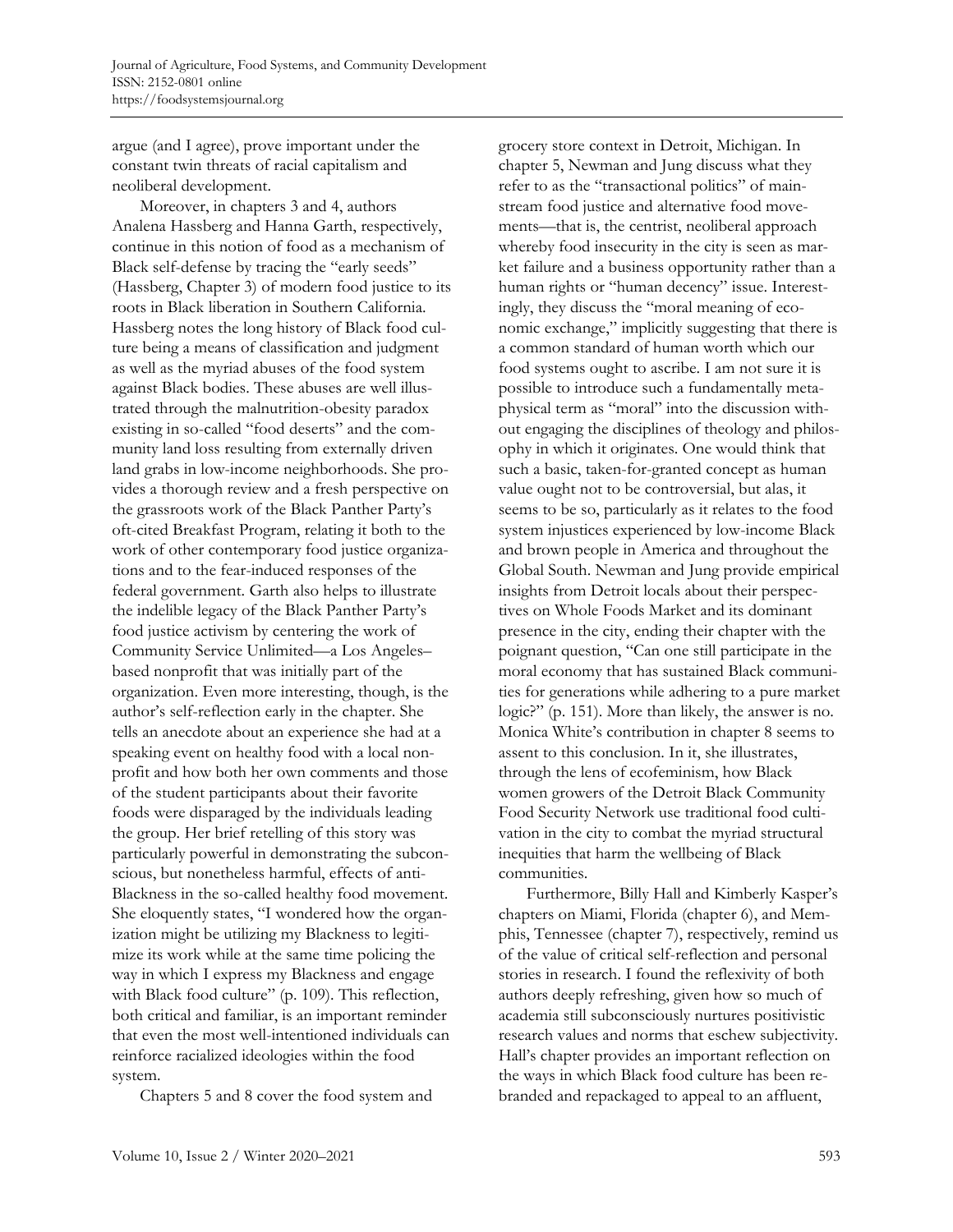argue (and I agree), prove important under the constant twin threats of racial capitalism and neoliberal development.

 Moreover, in chapters 3 and 4, authors Analena Hassberg and Hanna Garth, respectively, continue in this notion of food as a mechanism of Black self-defense by tracing the "early seeds" (Hassberg, Chapter 3) of modern food justice to its roots in Black liberation in Southern California. Hassberg notes the long history of Black food culture being a means of classification and judgment as well as the myriad abuses of the food system against Black bodies. These abuses are well illustrated through the malnutrition-obesity paradox existing in so-called "food deserts" and the community land loss resulting from externally driven land grabs in low-income neighborhoods. She provides a thorough review and a fresh perspective on the grassroots work of the Black Panther Party's oft-cited Breakfast Program, relating it both to the work of other contemporary food justice organizations and to the fear-induced responses of the federal government. Garth also helps to illustrate the indelible legacy of the Black Panther Party's food justice activism by centering the work of Community Service Unlimited—a Los Angeles– based nonprofit that was initially part of the organization. Even more interesting, though, is the author's self-reflection early in the chapter. She tells an anecdote about an experience she had at a speaking event on healthy food with a local nonprofit and how both her own comments and those of the student participants about their favorite foods were disparaged by the individuals leading the group. Her brief retelling of this story was particularly powerful in demonstrating the subconscious, but nonetheless harmful, effects of anti-Blackness in the so-called healthy food movement. She eloquently states, "I wondered how the organization might be utilizing my Blackness to legitimize its work while at the same time policing the way in which I express my Blackness and engage with Black food culture" (p. 109). This reflection, both critical and familiar, is an important reminder that even the most well-intentioned individuals can reinforce racialized ideologies within the food system.

Chapters 5 and 8 cover the food system and

grocery store context in Detroit, Michigan. In chapter 5, Newman and Jung discuss what they refer to as the "transactional politics" of mainstream food justice and alternative food movements—that is, the centrist, neoliberal approach whereby food insecurity in the city is seen as market failure and a business opportunity rather than a human rights or "human decency" issue. Interestingly, they discuss the "moral meaning of economic exchange," implicitly suggesting that there is a common standard of human worth which our food systems ought to ascribe. I am not sure it is possible to introduce such a fundamentally metaphysical term as "moral" into the discussion without engaging the disciplines of theology and philosophy in which it originates. One would think that such a basic, taken-for-granted concept as human value ought not to be controversial, but alas, it seems to be so, particularly as it relates to the food system injustices experienced by low-income Black and brown people in America and throughout the Global South. Newman and Jung provide empirical insights from Detroit locals about their perspectives on Whole Foods Market and its dominant presence in the city, ending their chapter with the poignant question, "Can one still participate in the moral economy that has sustained Black communities for generations while adhering to a pure market logic?" (p. 151). More than likely, the answer is no. Monica White's contribution in chapter 8 seems to assent to this conclusion. In it, she illustrates, through the lens of ecofeminism, how Black women growers of the Detroit Black Community Food Security Network use traditional food cultivation in the city to combat the myriad structural inequities that harm the wellbeing of Black communities.

 Furthermore, Billy Hall and Kimberly Kasper's chapters on Miami, Florida (chapter 6), and Memphis, Tennessee (chapter 7), respectively, remind us of the value of critical self-reflection and personal stories in research. I found the reflexivity of both authors deeply refreshing, given how so much of academia still subconsciously nurtures positivistic research values and norms that eschew subjectivity. Hall's chapter provides an important reflection on the ways in which Black food culture has been rebranded and repackaged to appeal to an affluent,